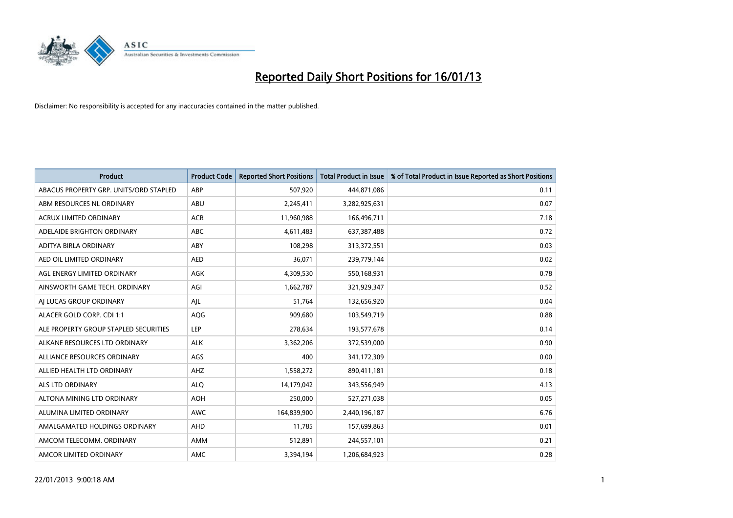

| <b>Product</b>                         | <b>Product Code</b> | <b>Reported Short Positions</b> | <b>Total Product in Issue</b> | % of Total Product in Issue Reported as Short Positions |
|----------------------------------------|---------------------|---------------------------------|-------------------------------|---------------------------------------------------------|
| ABACUS PROPERTY GRP. UNITS/ORD STAPLED | ABP                 | 507,920                         | 444,871,086                   | 0.11                                                    |
| ABM RESOURCES NL ORDINARY              | ABU                 | 2,245,411                       | 3,282,925,631                 | 0.07                                                    |
| <b>ACRUX LIMITED ORDINARY</b>          | <b>ACR</b>          | 11,960,988                      | 166,496,711                   | 7.18                                                    |
| ADELAIDE BRIGHTON ORDINARY             | <b>ABC</b>          | 4,611,483                       | 637,387,488                   | 0.72                                                    |
| <b>ADITYA BIRLA ORDINARY</b>           | ABY                 | 108.298                         | 313,372,551                   | 0.03                                                    |
| AED OIL LIMITED ORDINARY               | <b>AED</b>          | 36,071                          | 239,779,144                   | 0.02                                                    |
| AGL ENERGY LIMITED ORDINARY            | <b>AGK</b>          | 4,309,530                       | 550,168,931                   | 0.78                                                    |
| AINSWORTH GAME TECH. ORDINARY          | AGI                 | 1,662,787                       | 321,929,347                   | 0.52                                                    |
| AJ LUCAS GROUP ORDINARY                | AJL                 | 51,764                          | 132,656,920                   | 0.04                                                    |
| ALACER GOLD CORP. CDI 1:1              | AQG                 | 909,680                         | 103,549,719                   | 0.88                                                    |
| ALE PROPERTY GROUP STAPLED SECURITIES  | LEP                 | 278,634                         | 193,577,678                   | 0.14                                                    |
| ALKANE RESOURCES LTD ORDINARY          | <b>ALK</b>          | 3,362,206                       | 372,539,000                   | 0.90                                                    |
| ALLIANCE RESOURCES ORDINARY            | AGS                 | 400                             | 341,172,309                   | 0.00                                                    |
| ALLIED HEALTH LTD ORDINARY             | AHZ                 | 1,558,272                       | 890,411,181                   | 0.18                                                    |
| <b>ALS LTD ORDINARY</b>                | <b>ALO</b>          | 14,179,042                      | 343,556,949                   | 4.13                                                    |
| ALTONA MINING LTD ORDINARY             | <b>AOH</b>          | 250,000                         | 527,271,038                   | 0.05                                                    |
| ALUMINA LIMITED ORDINARY               | <b>AWC</b>          | 164,839,900                     | 2,440,196,187                 | 6.76                                                    |
| AMALGAMATED HOLDINGS ORDINARY          | AHD                 | 11,785                          | 157,699,863                   | 0.01                                                    |
| AMCOM TELECOMM, ORDINARY               | AMM                 | 512,891                         | 244,557,101                   | 0.21                                                    |
| AMCOR LIMITED ORDINARY                 | <b>AMC</b>          | 3.394.194                       | 1,206,684,923                 | 0.28                                                    |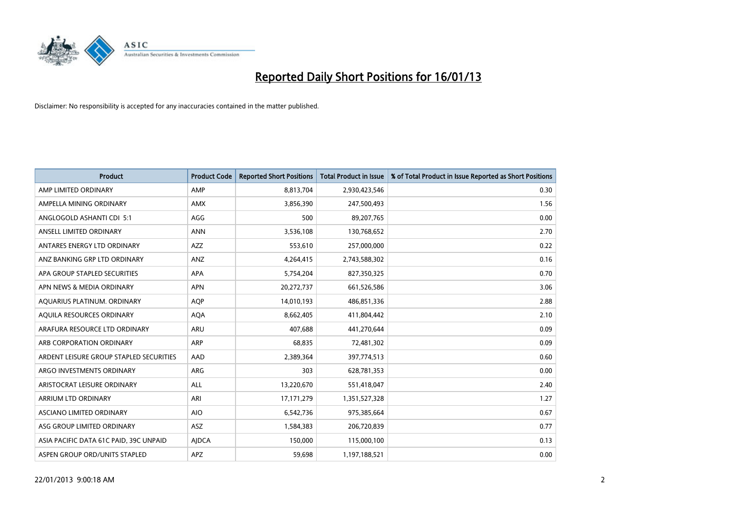

| <b>Product</b>                          | <b>Product Code</b> | <b>Reported Short Positions</b> | <b>Total Product in Issue</b> | % of Total Product in Issue Reported as Short Positions |
|-----------------------------------------|---------------------|---------------------------------|-------------------------------|---------------------------------------------------------|
| AMP LIMITED ORDINARY                    | AMP                 | 8,813,704                       | 2,930,423,546                 | 0.30                                                    |
| AMPELLA MINING ORDINARY                 | <b>AMX</b>          | 3,856,390                       | 247,500,493                   | 1.56                                                    |
| ANGLOGOLD ASHANTI CDI 5:1               | AGG                 | 500                             | 89,207,765                    | 0.00                                                    |
| ANSELL LIMITED ORDINARY                 | <b>ANN</b>          | 3,536,108                       | 130,768,652                   | 2.70                                                    |
| ANTARES ENERGY LTD ORDINARY             | AZZ                 | 553,610                         | 257,000,000                   | 0.22                                                    |
| ANZ BANKING GRP LTD ORDINARY            | ANZ                 | 4,264,415                       | 2,743,588,302                 | 0.16                                                    |
| APA GROUP STAPLED SECURITIES            | <b>APA</b>          | 5,754,204                       | 827,350,325                   | 0.70                                                    |
| APN NEWS & MEDIA ORDINARY               | <b>APN</b>          | 20,272,737                      | 661,526,586                   | 3.06                                                    |
| AQUARIUS PLATINUM. ORDINARY             | <b>AOP</b>          | 14,010,193                      | 486,851,336                   | 2.88                                                    |
| AQUILA RESOURCES ORDINARY               | <b>AQA</b>          | 8,662,405                       | 411,804,442                   | 2.10                                                    |
| ARAFURA RESOURCE LTD ORDINARY           | <b>ARU</b>          | 407,688                         | 441,270,644                   | 0.09                                                    |
| ARB CORPORATION ORDINARY                | <b>ARP</b>          | 68,835                          | 72,481,302                    | 0.09                                                    |
| ARDENT LEISURE GROUP STAPLED SECURITIES | AAD                 | 2,389,364                       | 397,774,513                   | 0.60                                                    |
| ARGO INVESTMENTS ORDINARY               | ARG                 | 303                             | 628,781,353                   | 0.00                                                    |
| ARISTOCRAT LEISURE ORDINARY             | <b>ALL</b>          | 13,220,670                      | 551,418,047                   | 2.40                                                    |
| ARRIUM LTD ORDINARY                     | ARI                 | 17,171,279                      | 1,351,527,328                 | 1.27                                                    |
| ASCIANO LIMITED ORDINARY                | <b>AIO</b>          | 6,542,736                       | 975,385,664                   | 0.67                                                    |
| ASG GROUP LIMITED ORDINARY              | <b>ASZ</b>          | 1,584,383                       | 206,720,839                   | 0.77                                                    |
| ASIA PACIFIC DATA 61C PAID, 39C UNPAID  | <b>AIDCA</b>        | 150,000                         | 115,000,100                   | 0.13                                                    |
| ASPEN GROUP ORD/UNITS STAPLED           | <b>APZ</b>          | 59,698                          | 1,197,188,521                 | 0.00                                                    |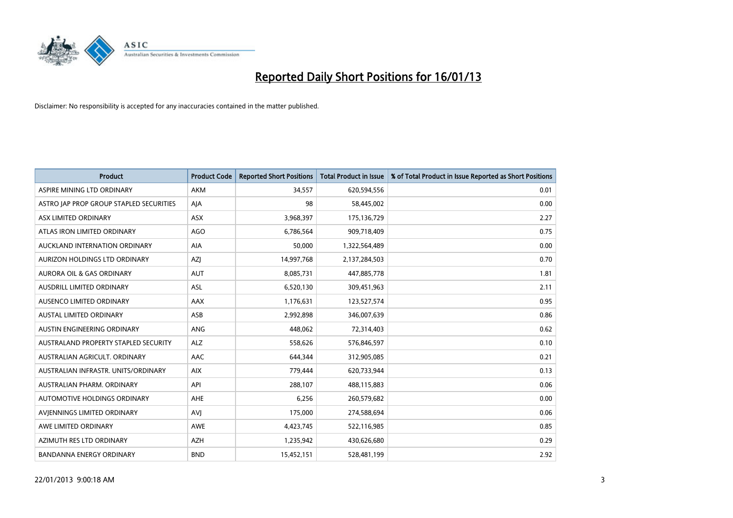

| <b>Product</b>                              | <b>Product Code</b> | <b>Reported Short Positions</b> | <b>Total Product in Issue</b> | % of Total Product in Issue Reported as Short Positions |
|---------------------------------------------|---------------------|---------------------------------|-------------------------------|---------------------------------------------------------|
| ASPIRE MINING LTD ORDINARY                  | <b>AKM</b>          | 34,557                          | 620,594,556                   | 0.01                                                    |
| ASTRO JAP PROP GROUP STAPLED SECURITIES     | AJA                 | 98                              | 58,445,002                    | 0.00                                                    |
| ASX LIMITED ORDINARY                        | <b>ASX</b>          | 3,968,397                       | 175,136,729                   | 2.27                                                    |
| ATLAS IRON LIMITED ORDINARY                 | AGO                 | 6,786,564                       | 909,718,409                   | 0.75                                                    |
| AUCKLAND INTERNATION ORDINARY               | <b>AIA</b>          | 50,000                          | 1,322,564,489                 | 0.00                                                    |
| AURIZON HOLDINGS LTD ORDINARY               | <b>AZI</b>          | 14,997,768                      | 2,137,284,503                 | 0.70                                                    |
| AURORA OIL & GAS ORDINARY                   | <b>AUT</b>          | 8,085,731                       | 447,885,778                   | 1.81                                                    |
| AUSDRILL LIMITED ORDINARY                   | ASL                 | 6,520,130                       | 309,451,963                   | 2.11                                                    |
| AUSENCO LIMITED ORDINARY                    | AAX                 | 1,176,631                       | 123,527,574                   | 0.95                                                    |
| <b>AUSTAL LIMITED ORDINARY</b>              | ASB                 | 2,992,898                       | 346,007,639                   | 0.86                                                    |
| AUSTIN ENGINEERING ORDINARY                 | ANG                 | 448,062                         | 72,314,403                    | 0.62                                                    |
| <b>AUSTRALAND PROPERTY STAPLED SECURITY</b> | <b>ALZ</b>          | 558,626                         | 576,846,597                   | 0.10                                                    |
| AUSTRALIAN AGRICULT. ORDINARY               | AAC                 | 644,344                         | 312,905,085                   | 0.21                                                    |
| AUSTRALIAN INFRASTR. UNITS/ORDINARY         | <b>AIX</b>          | 779,444                         | 620,733,944                   | 0.13                                                    |
| AUSTRALIAN PHARM, ORDINARY                  | API                 | 288,107                         | 488,115,883                   | 0.06                                                    |
| AUTOMOTIVE HOLDINGS ORDINARY                | AHE                 | 6,256                           | 260,579,682                   | 0.00                                                    |
| AVIENNINGS LIMITED ORDINARY                 | AVI                 | 175,000                         | 274,588,694                   | 0.06                                                    |
| AWE LIMITED ORDINARY                        | <b>AWE</b>          | 4,423,745                       | 522,116,985                   | 0.85                                                    |
| AZIMUTH RES LTD ORDINARY                    | <b>AZH</b>          | 1,235,942                       | 430,626,680                   | 0.29                                                    |
| <b>BANDANNA ENERGY ORDINARY</b>             | <b>BND</b>          | 15,452,151                      | 528,481,199                   | 2.92                                                    |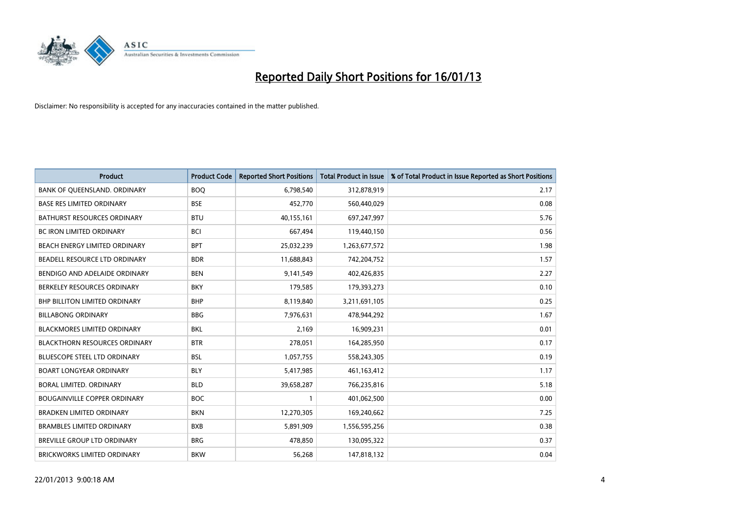

| <b>Product</b>                       | <b>Product Code</b> | <b>Reported Short Positions</b> | <b>Total Product in Issue</b> | % of Total Product in Issue Reported as Short Positions |
|--------------------------------------|---------------------|---------------------------------|-------------------------------|---------------------------------------------------------|
| BANK OF QUEENSLAND. ORDINARY         | <b>BOQ</b>          | 6,798,540                       | 312,878,919                   | 2.17                                                    |
| <b>BASE RES LIMITED ORDINARY</b>     | <b>BSE</b>          | 452,770                         | 560,440,029                   | 0.08                                                    |
| <b>BATHURST RESOURCES ORDINARY</b>   | <b>BTU</b>          | 40,155,161                      | 697,247,997                   | 5.76                                                    |
| BC IRON LIMITED ORDINARY             | <b>BCI</b>          | 667,494                         | 119,440,150                   | 0.56                                                    |
| BEACH ENERGY LIMITED ORDINARY        | <b>BPT</b>          | 25,032,239                      | 1,263,677,572                 | 1.98                                                    |
| BEADELL RESOURCE LTD ORDINARY        | <b>BDR</b>          | 11,688,843                      | 742,204,752                   | 1.57                                                    |
| BENDIGO AND ADELAIDE ORDINARY        | <b>BEN</b>          | 9,141,549                       | 402,426,835                   | 2.27                                                    |
| BERKELEY RESOURCES ORDINARY          | <b>BKY</b>          | 179,585                         | 179,393,273                   | 0.10                                                    |
| <b>BHP BILLITON LIMITED ORDINARY</b> | <b>BHP</b>          | 8,119,840                       | 3,211,691,105                 | 0.25                                                    |
| <b>BILLABONG ORDINARY</b>            | <b>BBG</b>          | 7,976,631                       | 478,944,292                   | 1.67                                                    |
| <b>BLACKMORES LIMITED ORDINARY</b>   | <b>BKL</b>          | 2,169                           | 16,909,231                    | 0.01                                                    |
| <b>BLACKTHORN RESOURCES ORDINARY</b> | <b>BTR</b>          | 278,051                         | 164,285,950                   | 0.17                                                    |
| <b>BLUESCOPE STEEL LTD ORDINARY</b>  | <b>BSL</b>          | 1,057,755                       | 558,243,305                   | 0.19                                                    |
| <b>BOART LONGYEAR ORDINARY</b>       | <b>BLY</b>          | 5,417,985                       | 461, 163, 412                 | 1.17                                                    |
| BORAL LIMITED, ORDINARY              | <b>BLD</b>          | 39,658,287                      | 766,235,816                   | 5.18                                                    |
| <b>BOUGAINVILLE COPPER ORDINARY</b>  | <b>BOC</b>          |                                 | 401,062,500                   | 0.00                                                    |
| <b>BRADKEN LIMITED ORDINARY</b>      | <b>BKN</b>          | 12,270,305                      | 169,240,662                   | 7.25                                                    |
| <b>BRAMBLES LIMITED ORDINARY</b>     | <b>BXB</b>          | 5,891,909                       | 1,556,595,256                 | 0.38                                                    |
| <b>BREVILLE GROUP LTD ORDINARY</b>   | <b>BRG</b>          | 478,850                         | 130,095,322                   | 0.37                                                    |
| <b>BRICKWORKS LIMITED ORDINARY</b>   | <b>BKW</b>          | 56,268                          | 147,818,132                   | 0.04                                                    |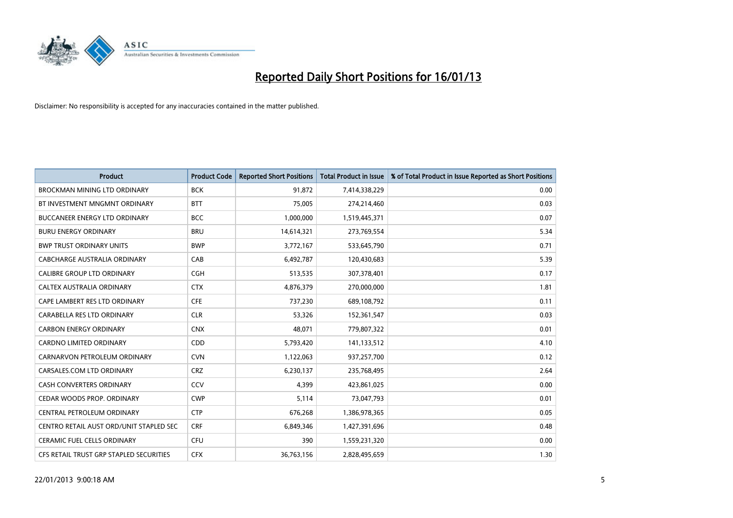

| <b>Product</b>                          | <b>Product Code</b> | <b>Reported Short Positions</b> | <b>Total Product in Issue</b> | % of Total Product in Issue Reported as Short Positions |
|-----------------------------------------|---------------------|---------------------------------|-------------------------------|---------------------------------------------------------|
| <b>BROCKMAN MINING LTD ORDINARY</b>     | <b>BCK</b>          | 91,872                          | 7,414,338,229                 | 0.00                                                    |
| BT INVESTMENT MNGMNT ORDINARY           | <b>BTT</b>          | 75,005                          | 274,214,460                   | 0.03                                                    |
| <b>BUCCANEER ENERGY LTD ORDINARY</b>    | <b>BCC</b>          | 1,000,000                       | 1,519,445,371                 | 0.07                                                    |
| <b>BURU ENERGY ORDINARY</b>             | <b>BRU</b>          | 14,614,321                      | 273,769,554                   | 5.34                                                    |
| <b>BWP TRUST ORDINARY UNITS</b>         | <b>BWP</b>          | 3,772,167                       | 533,645,790                   | 0.71                                                    |
| CABCHARGE AUSTRALIA ORDINARY            | CAB                 | 6,492,787                       | 120,430,683                   | 5.39                                                    |
| <b>CALIBRE GROUP LTD ORDINARY</b>       | <b>CGH</b>          | 513,535                         | 307,378,401                   | 0.17                                                    |
| CALTEX AUSTRALIA ORDINARY               | <b>CTX</b>          | 4,876,379                       | 270,000,000                   | 1.81                                                    |
| CAPE LAMBERT RES LTD ORDINARY           | <b>CFE</b>          | 737,230                         | 689,108,792                   | 0.11                                                    |
| CARABELLA RES LTD ORDINARY              | <b>CLR</b>          | 53,326                          | 152,361,547                   | 0.03                                                    |
| <b>CARBON ENERGY ORDINARY</b>           | <b>CNX</b>          | 48,071                          | 779,807,322                   | 0.01                                                    |
| <b>CARDNO LIMITED ORDINARY</b>          | <b>CDD</b>          | 5,793,420                       | 141,133,512                   | 4.10                                                    |
| CARNARVON PETROLEUM ORDINARY            | <b>CVN</b>          | 1,122,063                       | 937,257,700                   | 0.12                                                    |
| CARSALES.COM LTD ORDINARY               | <b>CRZ</b>          | 6,230,137                       | 235,768,495                   | 2.64                                                    |
| <b>CASH CONVERTERS ORDINARY</b>         | CCV                 | 4,399                           | 423,861,025                   | 0.00                                                    |
| CEDAR WOODS PROP. ORDINARY              | <b>CWP</b>          | 5,114                           | 73,047,793                    | 0.01                                                    |
| CENTRAL PETROLEUM ORDINARY              | <b>CTP</b>          | 676,268                         | 1,386,978,365                 | 0.05                                                    |
| CENTRO RETAIL AUST ORD/UNIT STAPLED SEC | <b>CRF</b>          | 6,849,346                       | 1,427,391,696                 | 0.48                                                    |
| CERAMIC FUEL CELLS ORDINARY             | CFU                 | 390                             | 1,559,231,320                 | 0.00                                                    |
| CFS RETAIL TRUST GRP STAPLED SECURITIES | <b>CFX</b>          | 36,763,156                      | 2,828,495,659                 | 1.30                                                    |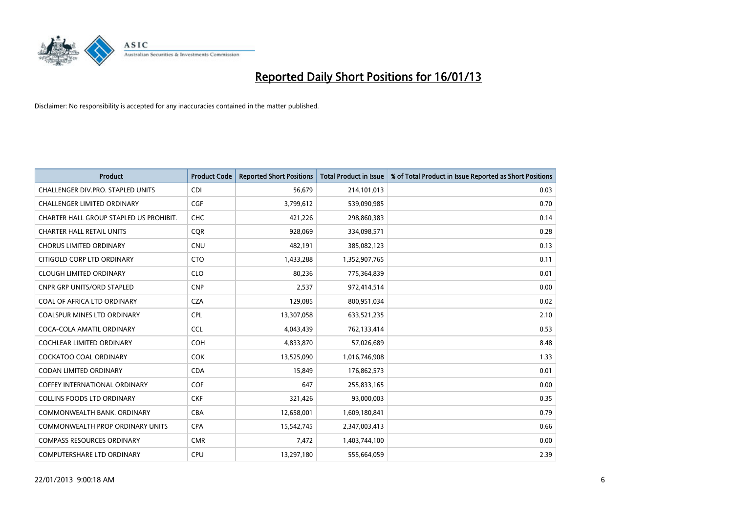

| <b>Product</b>                          | <b>Product Code</b> | <b>Reported Short Positions</b> | <b>Total Product in Issue</b> | % of Total Product in Issue Reported as Short Positions |
|-----------------------------------------|---------------------|---------------------------------|-------------------------------|---------------------------------------------------------|
| CHALLENGER DIV.PRO. STAPLED UNITS       | <b>CDI</b>          | 56,679                          | 214,101,013                   | 0.03                                                    |
| CHALLENGER LIMITED ORDINARY             | <b>CGF</b>          | 3,799,612                       | 539,090,985                   | 0.70                                                    |
| CHARTER HALL GROUP STAPLED US PROHIBIT. | <b>CHC</b>          | 421,226                         | 298,860,383                   | 0.14                                                    |
| <b>CHARTER HALL RETAIL UNITS</b>        | CQR                 | 928,069                         | 334,098,571                   | 0.28                                                    |
| <b>CHORUS LIMITED ORDINARY</b>          | <b>CNU</b>          | 482,191                         | 385,082,123                   | 0.13                                                    |
| CITIGOLD CORP LTD ORDINARY              | <b>CTO</b>          | 1,433,288                       | 1,352,907,765                 | 0.11                                                    |
| <b>CLOUGH LIMITED ORDINARY</b>          | <b>CLO</b>          | 80,236                          | 775,364,839                   | 0.01                                                    |
| CNPR GRP UNITS/ORD STAPLED              | <b>CNP</b>          | 2,537                           | 972,414,514                   | 0.00                                                    |
| COAL OF AFRICA LTD ORDINARY             | <b>CZA</b>          | 129,085                         | 800,951,034                   | 0.02                                                    |
| <b>COALSPUR MINES LTD ORDINARY</b>      | <b>CPL</b>          | 13,307,058                      | 633,521,235                   | 2.10                                                    |
| COCA-COLA AMATIL ORDINARY               | <b>CCL</b>          | 4,043,439                       | 762,133,414                   | 0.53                                                    |
| COCHLEAR LIMITED ORDINARY               | <b>COH</b>          | 4,833,870                       | 57,026,689                    | 8.48                                                    |
| <b>COCKATOO COAL ORDINARY</b>           | COK                 | 13,525,090                      | 1,016,746,908                 | 1.33                                                    |
| <b>CODAN LIMITED ORDINARY</b>           | <b>CDA</b>          | 15,849                          | 176,862,573                   | 0.01                                                    |
| <b>COFFEY INTERNATIONAL ORDINARY</b>    | <b>COF</b>          | 647                             | 255,833,165                   | 0.00                                                    |
| <b>COLLINS FOODS LTD ORDINARY</b>       | <b>CKF</b>          | 321,426                         | 93,000,003                    | 0.35                                                    |
| COMMONWEALTH BANK, ORDINARY             | CBA                 | 12,658,001                      | 1,609,180,841                 | 0.79                                                    |
| COMMONWEALTH PROP ORDINARY UNITS        | <b>CPA</b>          | 15,542,745                      | 2,347,003,413                 | 0.66                                                    |
| <b>COMPASS RESOURCES ORDINARY</b>       | <b>CMR</b>          | 7,472                           | 1,403,744,100                 | 0.00                                                    |
| COMPUTERSHARE LTD ORDINARY              | <b>CPU</b>          | 13,297,180                      | 555,664,059                   | 2.39                                                    |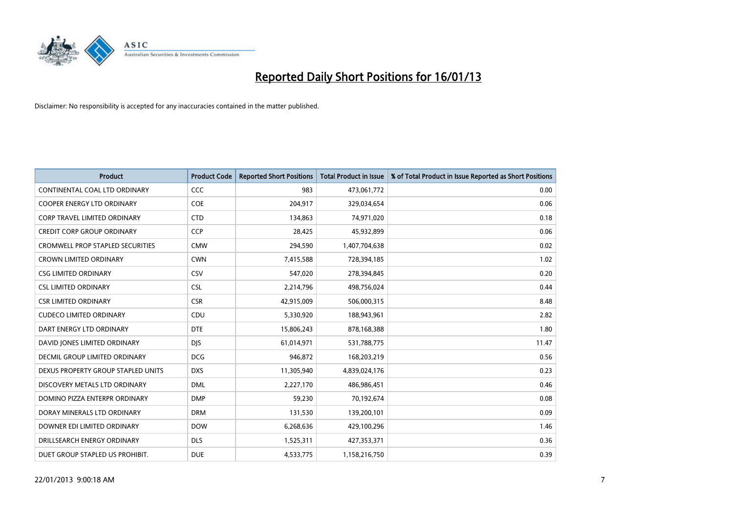

| <b>Product</b>                          | <b>Product Code</b> | <b>Reported Short Positions</b> | <b>Total Product in Issue</b> | % of Total Product in Issue Reported as Short Positions |
|-----------------------------------------|---------------------|---------------------------------|-------------------------------|---------------------------------------------------------|
| CONTINENTAL COAL LTD ORDINARY           | <b>CCC</b>          | 983                             | 473,061,772                   | 0.00                                                    |
| COOPER ENERGY LTD ORDINARY              | COE                 | 204,917                         | 329,034,654                   | 0.06                                                    |
| <b>CORP TRAVEL LIMITED ORDINARY</b>     | <b>CTD</b>          | 134,863                         | 74,971,020                    | 0.18                                                    |
| <b>CREDIT CORP GROUP ORDINARY</b>       | <b>CCP</b>          | 28,425                          | 45,932,899                    | 0.06                                                    |
| <b>CROMWELL PROP STAPLED SECURITIES</b> | <b>CMW</b>          | 294,590                         | 1,407,704,638                 | 0.02                                                    |
| <b>CROWN LIMITED ORDINARY</b>           | <b>CWN</b>          | 7,415,588                       | 728,394,185                   | 1.02                                                    |
| <b>CSG LIMITED ORDINARY</b>             | CSV                 | 547,020                         | 278,394,845                   | 0.20                                                    |
| <b>CSL LIMITED ORDINARY</b>             | <b>CSL</b>          | 2,214,796                       | 498,756,024                   | 0.44                                                    |
| <b>CSR LIMITED ORDINARY</b>             | <b>CSR</b>          | 42,915,009                      | 506,000,315                   | 8.48                                                    |
| <b>CUDECO LIMITED ORDINARY</b>          | CDU                 | 5,330,920                       | 188,943,961                   | 2.82                                                    |
| DART ENERGY LTD ORDINARY                | <b>DTE</b>          | 15,806,243                      | 878,168,388                   | 1.80                                                    |
| DAVID JONES LIMITED ORDINARY            | <b>DIS</b>          | 61,014,971                      | 531,788,775                   | 11.47                                                   |
| DECMIL GROUP LIMITED ORDINARY           | <b>DCG</b>          | 946,872                         | 168,203,219                   | 0.56                                                    |
| DEXUS PROPERTY GROUP STAPLED UNITS      | <b>DXS</b>          | 11,305,940                      | 4,839,024,176                 | 0.23                                                    |
| DISCOVERY METALS LTD ORDINARY           | <b>DML</b>          | 2,227,170                       | 486,986,451                   | 0.46                                                    |
| DOMINO PIZZA ENTERPR ORDINARY           | <b>DMP</b>          | 59,230                          | 70,192,674                    | 0.08                                                    |
| DORAY MINERALS LTD ORDINARY             | <b>DRM</b>          | 131,530                         | 139,200,101                   | 0.09                                                    |
| DOWNER EDI LIMITED ORDINARY             | <b>DOW</b>          | 6,268,636                       | 429,100,296                   | 1.46                                                    |
| DRILLSEARCH ENERGY ORDINARY             | <b>DLS</b>          | 1,525,311                       | 427,353,371                   | 0.36                                                    |
| DUET GROUP STAPLED US PROHIBIT.         | <b>DUE</b>          | 4,533,775                       | 1,158,216,750                 | 0.39                                                    |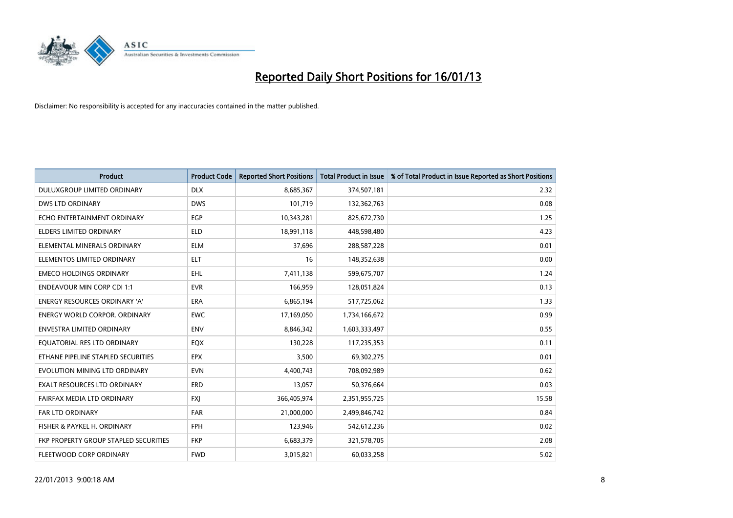

| <b>Product</b>                        | <b>Product Code</b> | <b>Reported Short Positions</b> | <b>Total Product in Issue</b> | % of Total Product in Issue Reported as Short Positions |
|---------------------------------------|---------------------|---------------------------------|-------------------------------|---------------------------------------------------------|
| DULUXGROUP LIMITED ORDINARY           | <b>DLX</b>          | 8,685,367                       | 374,507,181                   | 2.32                                                    |
| DWS LTD ORDINARY                      | <b>DWS</b>          | 101,719                         | 132,362,763                   | 0.08                                                    |
| ECHO ENTERTAINMENT ORDINARY           | EGP                 | 10,343,281                      | 825,672,730                   | 1.25                                                    |
| ELDERS LIMITED ORDINARY               | <b>ELD</b>          | 18,991,118                      | 448,598,480                   | 4.23                                                    |
| ELEMENTAL MINERALS ORDINARY           | <b>ELM</b>          | 37,696                          | 288,587,228                   | 0.01                                                    |
| ELEMENTOS LIMITED ORDINARY            | <b>ELT</b>          | 16                              | 148,352,638                   | 0.00                                                    |
| <b>EMECO HOLDINGS ORDINARY</b>        | <b>EHL</b>          | 7,411,138                       | 599,675,707                   | 1.24                                                    |
| <b>ENDEAVOUR MIN CORP CDI 1:1</b>     | <b>EVR</b>          | 166,959                         | 128,051,824                   | 0.13                                                    |
| <b>ENERGY RESOURCES ORDINARY 'A'</b>  | <b>ERA</b>          | 6,865,194                       | 517,725,062                   | 1.33                                                    |
| <b>ENERGY WORLD CORPOR, ORDINARY</b>  | <b>EWC</b>          | 17,169,050                      | 1,734,166,672                 | 0.99                                                    |
| ENVESTRA LIMITED ORDINARY             | <b>ENV</b>          | 8,846,342                       | 1,603,333,497                 | 0.55                                                    |
| EQUATORIAL RES LTD ORDINARY           | EQX                 | 130,228                         | 117,235,353                   | 0.11                                                    |
| ETHANE PIPELINE STAPLED SECURITIES    | <b>EPX</b>          | 3,500                           | 69,302,275                    | 0.01                                                    |
| EVOLUTION MINING LTD ORDINARY         | <b>EVN</b>          | 4,400,743                       | 708,092,989                   | 0.62                                                    |
| <b>EXALT RESOURCES LTD ORDINARY</b>   | ERD                 | 13,057                          | 50,376,664                    | 0.03                                                    |
| FAIRFAX MEDIA LTD ORDINARY            | <b>FXI</b>          | 366,405,974                     | 2,351,955,725                 | 15.58                                                   |
| FAR LTD ORDINARY                      | <b>FAR</b>          | 21,000,000                      | 2,499,846,742                 | 0.84                                                    |
| FISHER & PAYKEL H. ORDINARY           | <b>FPH</b>          | 123,946                         | 542,612,236                   | 0.02                                                    |
| FKP PROPERTY GROUP STAPLED SECURITIES | <b>FKP</b>          | 6,683,379                       | 321,578,705                   | 2.08                                                    |
| FLEETWOOD CORP ORDINARY               | <b>FWD</b>          | 3,015,821                       | 60,033,258                    | 5.02                                                    |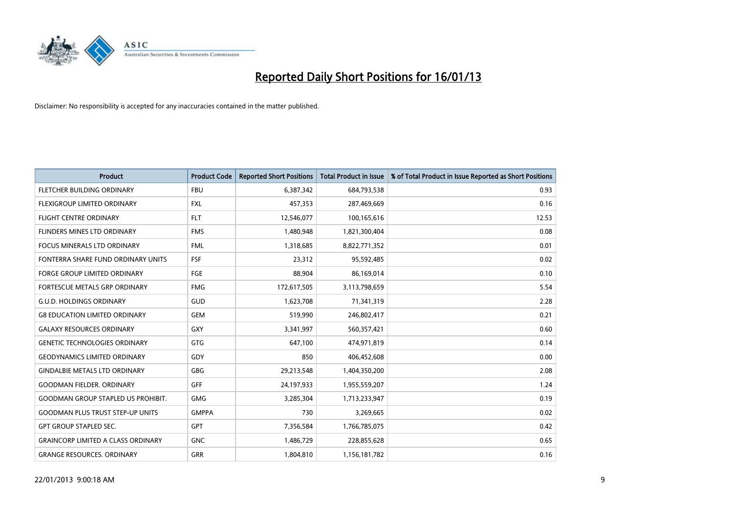

| <b>Product</b>                            | <b>Product Code</b> | <b>Reported Short Positions</b> | <b>Total Product in Issue</b> | % of Total Product in Issue Reported as Short Positions |
|-------------------------------------------|---------------------|---------------------------------|-------------------------------|---------------------------------------------------------|
| FLETCHER BUILDING ORDINARY                | <b>FBU</b>          | 6,387,342                       | 684,793,538                   | 0.93                                                    |
| <b>FLEXIGROUP LIMITED ORDINARY</b>        | <b>FXL</b>          | 457,353                         | 287,469,669                   | 0.16                                                    |
| <b>FLIGHT CENTRE ORDINARY</b>             | <b>FLT</b>          | 12,546,077                      | 100,165,616                   | 12.53                                                   |
| FLINDERS MINES LTD ORDINARY               | <b>FMS</b>          | 1,480,948                       | 1,821,300,404                 | 0.08                                                    |
| <b>FOCUS MINERALS LTD ORDINARY</b>        | <b>FML</b>          | 1,318,685                       | 8,822,771,352                 | 0.01                                                    |
| FONTERRA SHARE FUND ORDINARY UNITS        | <b>FSF</b>          | 23,312                          | 95,592,485                    | 0.02                                                    |
| <b>FORGE GROUP LIMITED ORDINARY</b>       | <b>FGE</b>          | 88,904                          | 86,169,014                    | 0.10                                                    |
| FORTESCUE METALS GRP ORDINARY             | <b>FMG</b>          | 172,617,505                     | 3,113,798,659                 | 5.54                                                    |
| <b>G.U.D. HOLDINGS ORDINARY</b>           | GUD                 | 1,623,708                       | 71,341,319                    | 2.28                                                    |
| <b>G8 EDUCATION LIMITED ORDINARY</b>      | <b>GEM</b>          | 519,990                         | 246,802,417                   | 0.21                                                    |
| <b>GALAXY RESOURCES ORDINARY</b>          | <b>GXY</b>          | 3,341,997                       | 560,357,421                   | 0.60                                                    |
| <b>GENETIC TECHNOLOGIES ORDINARY</b>      | <b>GTG</b>          | 647,100                         | 474,971,819                   | 0.14                                                    |
| <b>GEODYNAMICS LIMITED ORDINARY</b>       | GDY                 | 850                             | 406,452,608                   | 0.00                                                    |
| <b>GINDALBIE METALS LTD ORDINARY</b>      | <b>GBG</b>          | 29,213,548                      | 1,404,350,200                 | 2.08                                                    |
| <b>GOODMAN FIELDER, ORDINARY</b>          | GFF                 | 24,197,933                      | 1,955,559,207                 | 1.24                                                    |
| <b>GOODMAN GROUP STAPLED US PROHIBIT.</b> | <b>GMG</b>          | 3,285,304                       | 1,713,233,947                 | 0.19                                                    |
| <b>GOODMAN PLUS TRUST STEP-UP UNITS</b>   | <b>GMPPA</b>        | 730                             | 3,269,665                     | 0.02                                                    |
| <b>GPT GROUP STAPLED SEC.</b>             | <b>GPT</b>          | 7,356,584                       | 1,766,785,075                 | 0.42                                                    |
| <b>GRAINCORP LIMITED A CLASS ORDINARY</b> | <b>GNC</b>          | 1,486,729                       | 228,855,628                   | 0.65                                                    |
| <b>GRANGE RESOURCES. ORDINARY</b>         | <b>GRR</b>          | 1,804,810                       | 1,156,181,782                 | 0.16                                                    |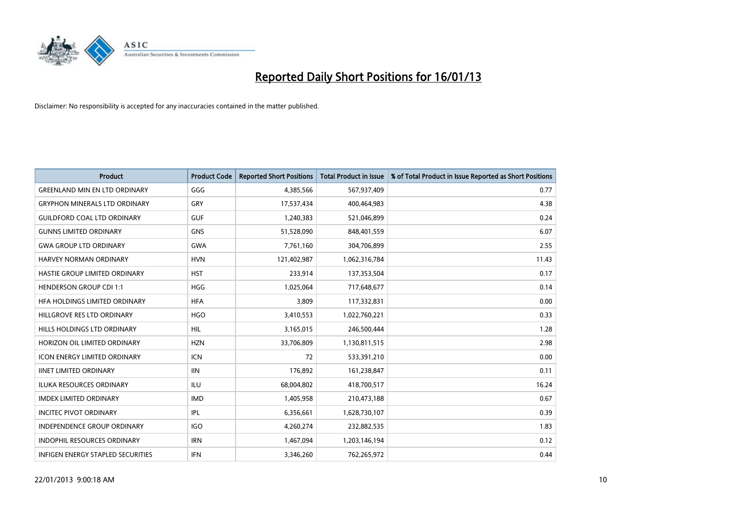

| <b>Product</b>                       | <b>Product Code</b> | <b>Reported Short Positions</b> | <b>Total Product in Issue</b> | % of Total Product in Issue Reported as Short Positions |
|--------------------------------------|---------------------|---------------------------------|-------------------------------|---------------------------------------------------------|
| <b>GREENLAND MIN EN LTD ORDINARY</b> | GGG                 | 4,385,566                       | 567,937,409                   | 0.77                                                    |
| <b>GRYPHON MINERALS LTD ORDINARY</b> | GRY                 | 17,537,434                      | 400,464,983                   | 4.38                                                    |
| <b>GUILDFORD COAL LTD ORDINARY</b>   | <b>GUF</b>          | 1,240,383                       | 521,046,899                   | 0.24                                                    |
| <b>GUNNS LIMITED ORDINARY</b>        | <b>GNS</b>          | 51,528,090                      | 848,401,559                   | 6.07                                                    |
| <b>GWA GROUP LTD ORDINARY</b>        | <b>GWA</b>          | 7,761,160                       | 304,706,899                   | 2.55                                                    |
| <b>HARVEY NORMAN ORDINARY</b>        | <b>HVN</b>          | 121,402,987                     | 1,062,316,784                 | 11.43                                                   |
| <b>HASTIE GROUP LIMITED ORDINARY</b> | <b>HST</b>          | 233,914                         | 137,353,504                   | 0.17                                                    |
| <b>HENDERSON GROUP CDI 1:1</b>       | <b>HGG</b>          | 1,025,064                       | 717,648,677                   | 0.14                                                    |
| HFA HOLDINGS LIMITED ORDINARY        | <b>HFA</b>          | 3,809                           | 117,332,831                   | 0.00                                                    |
| HILLGROVE RES LTD ORDINARY           | <b>HGO</b>          | 3,410,553                       | 1,022,760,221                 | 0.33                                                    |
| HILLS HOLDINGS LTD ORDINARY          | <b>HIL</b>          | 3,165,015                       | 246,500,444                   | 1.28                                                    |
| HORIZON OIL LIMITED ORDINARY         | <b>HZN</b>          | 33,706,809                      | 1,130,811,515                 | 2.98                                                    |
| ICON ENERGY LIMITED ORDINARY         | <b>ICN</b>          | 72                              | 533,391,210                   | 0.00                                                    |
| <b>IINET LIMITED ORDINARY</b>        | <b>IIN</b>          | 176,892                         | 161,238,847                   | 0.11                                                    |
| <b>ILUKA RESOURCES ORDINARY</b>      | <b>ILU</b>          | 68,004,802                      | 418,700,517                   | 16.24                                                   |
| <b>IMDEX LIMITED ORDINARY</b>        | <b>IMD</b>          | 1,405,958                       | 210,473,188                   | 0.67                                                    |
| <b>INCITEC PIVOT ORDINARY</b>        | <b>IPL</b>          | 6,356,661                       | 1,628,730,107                 | 0.39                                                    |
| INDEPENDENCE GROUP ORDINARY          | <b>IGO</b>          | 4,260,274                       | 232,882,535                   | 1.83                                                    |
| <b>INDOPHIL RESOURCES ORDINARY</b>   | <b>IRN</b>          | 1,467,094                       | 1,203,146,194                 | 0.12                                                    |
| INFIGEN ENERGY STAPLED SECURITIES    | <b>IFN</b>          | 3,346,260                       | 762,265,972                   | 0.44                                                    |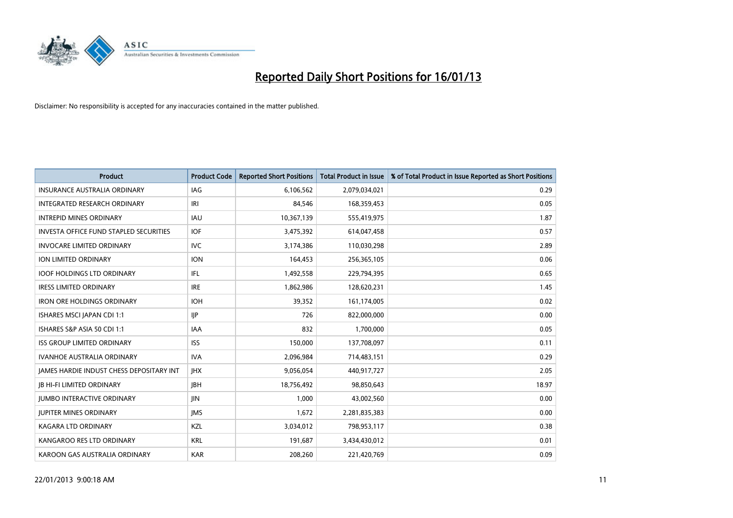

| <b>Product</b>                                  | <b>Product Code</b> | <b>Reported Short Positions</b> | <b>Total Product in Issue</b> | % of Total Product in Issue Reported as Short Positions |
|-------------------------------------------------|---------------------|---------------------------------|-------------------------------|---------------------------------------------------------|
| <b>INSURANCE AUSTRALIA ORDINARY</b>             | IAG                 | 6,106,562                       | 2,079,034,021                 | 0.29                                                    |
| INTEGRATED RESEARCH ORDINARY                    | IRI                 | 84,546                          | 168,359,453                   | 0.05                                                    |
| <b>INTREPID MINES ORDINARY</b>                  | <b>IAU</b>          | 10,367,139                      | 555,419,975                   | 1.87                                                    |
| INVESTA OFFICE FUND STAPLED SECURITIES          | <b>IOF</b>          | 3,475,392                       | 614,047,458                   | 0.57                                                    |
| <b>INVOCARE LIMITED ORDINARY</b>                | <b>IVC</b>          | 3,174,386                       | 110,030,298                   | 2.89                                                    |
| <b>ION LIMITED ORDINARY</b>                     | <b>ION</b>          | 164,453                         | 256,365,105                   | 0.06                                                    |
| <b>IOOF HOLDINGS LTD ORDINARY</b>               | IFL                 | 1,492,558                       | 229,794,395                   | 0.65                                                    |
| <b>IRESS LIMITED ORDINARY</b>                   | <b>IRE</b>          | 1,862,986                       | 128,620,231                   | 1.45                                                    |
| <b>IRON ORE HOLDINGS ORDINARY</b>               | <b>IOH</b>          | 39,352                          | 161,174,005                   | 0.02                                                    |
| ISHARES MSCI JAPAN CDI 1:1                      | <b>IIP</b>          | 726                             | 822,000,000                   | 0.00                                                    |
| ISHARES S&P ASIA 50 CDI 1:1                     | <b>IAA</b>          | 832                             | 1,700,000                     | 0.05                                                    |
| <b>ISS GROUP LIMITED ORDINARY</b>               | <b>ISS</b>          | 150,000                         | 137,708,097                   | 0.11                                                    |
| <b>IVANHOE AUSTRALIA ORDINARY</b>               | <b>IVA</b>          | 2,096,984                       | 714,483,151                   | 0.29                                                    |
| <b>JAMES HARDIE INDUST CHESS DEPOSITARY INT</b> | <b>IHX</b>          | 9,056,054                       | 440,917,727                   | 2.05                                                    |
| <b>JB HI-FI LIMITED ORDINARY</b>                | <b>IBH</b>          | 18,756,492                      | 98,850,643                    | 18.97                                                   |
| <b>JUMBO INTERACTIVE ORDINARY</b>               | <b>JIN</b>          | 1,000                           | 43,002,560                    | 0.00                                                    |
| <b>JUPITER MINES ORDINARY</b>                   | <b>IMS</b>          | 1,672                           | 2,281,835,383                 | 0.00                                                    |
| KAGARA LTD ORDINARY                             | <b>KZL</b>          | 3,034,012                       | 798,953,117                   | 0.38                                                    |
| KANGAROO RES LTD ORDINARY                       | <b>KRL</b>          | 191,687                         | 3,434,430,012                 | 0.01                                                    |
| KAROON GAS AUSTRALIA ORDINARY                   | <b>KAR</b>          | 208.260                         | 221,420,769                   | 0.09                                                    |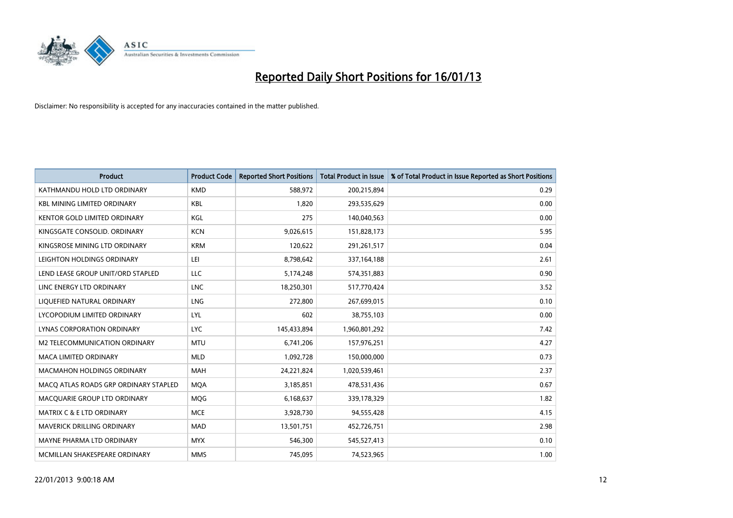

| <b>Product</b>                        | <b>Product Code</b> | <b>Reported Short Positions</b> | <b>Total Product in Issue</b> | % of Total Product in Issue Reported as Short Positions |
|---------------------------------------|---------------------|---------------------------------|-------------------------------|---------------------------------------------------------|
| KATHMANDU HOLD LTD ORDINARY           | <b>KMD</b>          | 588,972                         | 200,215,894                   | 0.29                                                    |
| <b>KBL MINING LIMITED ORDINARY</b>    | <b>KBL</b>          | 1,820                           | 293,535,629                   | 0.00                                                    |
| <b>KENTOR GOLD LIMITED ORDINARY</b>   | KGL                 | 275                             | 140,040,563                   | 0.00                                                    |
| KINGSGATE CONSOLID. ORDINARY          | <b>KCN</b>          | 9,026,615                       | 151,828,173                   | 5.95                                                    |
| KINGSROSE MINING LTD ORDINARY         | <b>KRM</b>          | 120,622                         | 291,261,517                   | 0.04                                                    |
| LEIGHTON HOLDINGS ORDINARY            | LEI                 | 8,798,642                       | 337,164,188                   | 2.61                                                    |
| LEND LEASE GROUP UNIT/ORD STAPLED     | LLC                 | 5,174,248                       | 574,351,883                   | 0.90                                                    |
| LINC ENERGY LTD ORDINARY              | <b>LNC</b>          | 18,250,301                      | 517,770,424                   | 3.52                                                    |
| LIQUEFIED NATURAL ORDINARY            | LNG                 | 272,800                         | 267,699,015                   | 0.10                                                    |
| LYCOPODIUM LIMITED ORDINARY           | LYL                 | 602                             | 38,755,103                    | 0.00                                                    |
| LYNAS CORPORATION ORDINARY            | <b>LYC</b>          | 145,433,894                     | 1,960,801,292                 | 7.42                                                    |
| M2 TELECOMMUNICATION ORDINARY         | <b>MTU</b>          | 6,741,206                       | 157,976,251                   | 4.27                                                    |
| <b>MACA LIMITED ORDINARY</b>          | <b>MLD</b>          | 1,092,728                       | 150,000,000                   | 0.73                                                    |
| <b>MACMAHON HOLDINGS ORDINARY</b>     | <b>MAH</b>          | 24,221,824                      | 1,020,539,461                 | 2.37                                                    |
| MACQ ATLAS ROADS GRP ORDINARY STAPLED | <b>MOA</b>          | 3,185,851                       | 478,531,436                   | 0.67                                                    |
| MACQUARIE GROUP LTD ORDINARY          | <b>MOG</b>          | 6,168,637                       | 339,178,329                   | 1.82                                                    |
| <b>MATRIX C &amp; E LTD ORDINARY</b>  | <b>MCE</b>          | 3,928,730                       | 94,555,428                    | 4.15                                                    |
| <b>MAVERICK DRILLING ORDINARY</b>     | <b>MAD</b>          | 13,501,751                      | 452,726,751                   | 2.98                                                    |
| MAYNE PHARMA LTD ORDINARY             | <b>MYX</b>          | 546,300                         | 545,527,413                   | 0.10                                                    |
| MCMILLAN SHAKESPEARE ORDINARY         | <b>MMS</b>          | 745.095                         | 74,523,965                    | 1.00                                                    |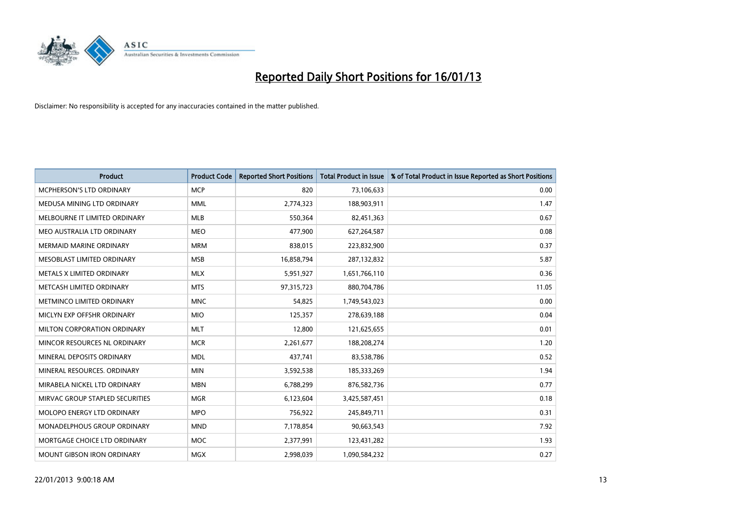

| <b>Product</b>                   | <b>Product Code</b> | <b>Reported Short Positions</b> | <b>Total Product in Issue</b> | % of Total Product in Issue Reported as Short Positions |
|----------------------------------|---------------------|---------------------------------|-------------------------------|---------------------------------------------------------|
| <b>MCPHERSON'S LTD ORDINARY</b>  | <b>MCP</b>          | 820                             | 73,106,633                    | 0.00                                                    |
| MEDUSA MINING LTD ORDINARY       | <b>MML</b>          | 2,774,323                       | 188,903,911                   | 1.47                                                    |
| MELBOURNE IT LIMITED ORDINARY    | <b>MLB</b>          | 550,364                         | 82,451,363                    | 0.67                                                    |
| MEO AUSTRALIA LTD ORDINARY       | <b>MEO</b>          | 477,900                         | 627,264,587                   | 0.08                                                    |
| <b>MERMAID MARINE ORDINARY</b>   | <b>MRM</b>          | 838,015                         | 223,832,900                   | 0.37                                                    |
| MESOBLAST LIMITED ORDINARY       | <b>MSB</b>          | 16,858,794                      | 287,132,832                   | 5.87                                                    |
| <b>METALS X LIMITED ORDINARY</b> | <b>MLX</b>          | 5,951,927                       | 1,651,766,110                 | 0.36                                                    |
| METCASH LIMITED ORDINARY         | <b>MTS</b>          | 97,315,723                      | 880,704,786                   | 11.05                                                   |
| METMINCO LIMITED ORDINARY        | <b>MNC</b>          | 54,825                          | 1,749,543,023                 | 0.00                                                    |
| MICLYN EXP OFFSHR ORDINARY       | <b>MIO</b>          | 125,357                         | 278,639,188                   | 0.04                                                    |
| MILTON CORPORATION ORDINARY      | <b>MLT</b>          | 12,800                          | 121,625,655                   | 0.01                                                    |
| MINCOR RESOURCES NL ORDINARY     | <b>MCR</b>          | 2,261,677                       | 188,208,274                   | 1.20                                                    |
| MINERAL DEPOSITS ORDINARY        | <b>MDL</b>          | 437,741                         | 83,538,786                    | 0.52                                                    |
| MINERAL RESOURCES, ORDINARY      | <b>MIN</b>          | 3,592,538                       | 185,333,269                   | 1.94                                                    |
| MIRABELA NICKEL LTD ORDINARY     | <b>MBN</b>          | 6,788,299                       | 876,582,736                   | 0.77                                                    |
| MIRVAC GROUP STAPLED SECURITIES  | <b>MGR</b>          | 6,123,604                       | 3,425,587,451                 | 0.18                                                    |
| MOLOPO ENERGY LTD ORDINARY       | <b>MPO</b>          | 756,922                         | 245,849,711                   | 0.31                                                    |
| MONADELPHOUS GROUP ORDINARY      | <b>MND</b>          | 7,178,854                       | 90,663,543                    | 7.92                                                    |
| MORTGAGE CHOICE LTD ORDINARY     | MOC                 | 2,377,991                       | 123,431,282                   | 1.93                                                    |
| MOUNT GIBSON IRON ORDINARY       | <b>MGX</b>          | 2,998,039                       | 1,090,584,232                 | 0.27                                                    |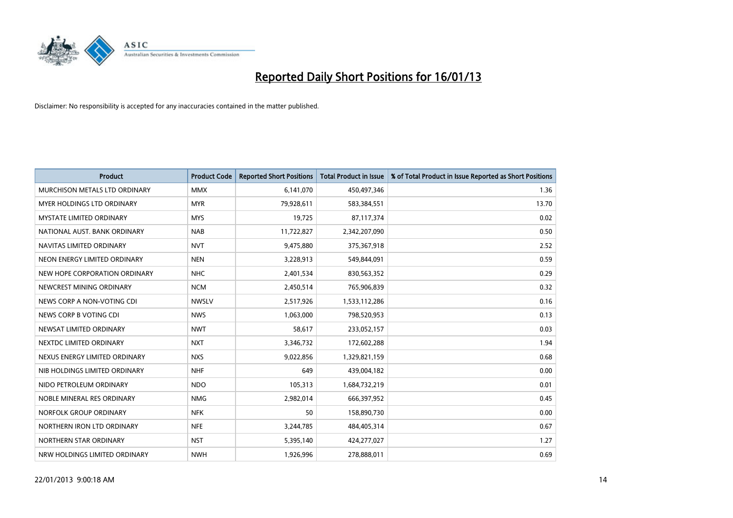

| <b>Product</b>                       | <b>Product Code</b> | <b>Reported Short Positions</b> | <b>Total Product in Issue</b> | % of Total Product in Issue Reported as Short Positions |
|--------------------------------------|---------------------|---------------------------------|-------------------------------|---------------------------------------------------------|
| <b>MURCHISON METALS LTD ORDINARY</b> | <b>MMX</b>          | 6,141,070                       | 450,497,346                   | 1.36                                                    |
| <b>MYER HOLDINGS LTD ORDINARY</b>    | <b>MYR</b>          | 79,928,611                      | 583,384,551                   | 13.70                                                   |
| <b>MYSTATE LIMITED ORDINARY</b>      | <b>MYS</b>          | 19,725                          | 87,117,374                    | 0.02                                                    |
| NATIONAL AUST. BANK ORDINARY         | <b>NAB</b>          | 11,722,827                      | 2,342,207,090                 | 0.50                                                    |
| NAVITAS LIMITED ORDINARY             | <b>NVT</b>          | 9,475,880                       | 375,367,918                   | 2.52                                                    |
| NEON ENERGY LIMITED ORDINARY         | <b>NEN</b>          | 3,228,913                       | 549,844,091                   | 0.59                                                    |
| NEW HOPE CORPORATION ORDINARY        | <b>NHC</b>          | 2,401,534                       | 830,563,352                   | 0.29                                                    |
| NEWCREST MINING ORDINARY             | <b>NCM</b>          | 2,450,514                       | 765,906,839                   | 0.32                                                    |
| NEWS CORP A NON-VOTING CDI           | <b>NWSLV</b>        | 2,517,926                       | 1,533,112,286                 | 0.16                                                    |
| NEWS CORP B VOTING CDI               | <b>NWS</b>          | 1,063,000                       | 798,520,953                   | 0.13                                                    |
| NEWSAT LIMITED ORDINARY              | <b>NWT</b>          | 58,617                          | 233,052,157                   | 0.03                                                    |
| NEXTDC LIMITED ORDINARY              | <b>NXT</b>          | 3,346,732                       | 172,602,288                   | 1.94                                                    |
| NEXUS ENERGY LIMITED ORDINARY        | <b>NXS</b>          | 9,022,856                       | 1,329,821,159                 | 0.68                                                    |
| NIB HOLDINGS LIMITED ORDINARY        | <b>NHF</b>          | 649                             | 439,004,182                   | 0.00                                                    |
| NIDO PETROLEUM ORDINARY              | <b>NDO</b>          | 105,313                         | 1,684,732,219                 | 0.01                                                    |
| NOBLE MINERAL RES ORDINARY           | <b>NMG</b>          | 2,982,014                       | 666,397,952                   | 0.45                                                    |
| NORFOLK GROUP ORDINARY               | <b>NFK</b>          | 50                              | 158,890,730                   | 0.00                                                    |
| NORTHERN IRON LTD ORDINARY           | <b>NFE</b>          | 3,244,785                       | 484,405,314                   | 0.67                                                    |
| NORTHERN STAR ORDINARY               | <b>NST</b>          | 5,395,140                       | 424,277,027                   | 1.27                                                    |
| NRW HOLDINGS LIMITED ORDINARY        | <b>NWH</b>          | 1,926,996                       | 278,888,011                   | 0.69                                                    |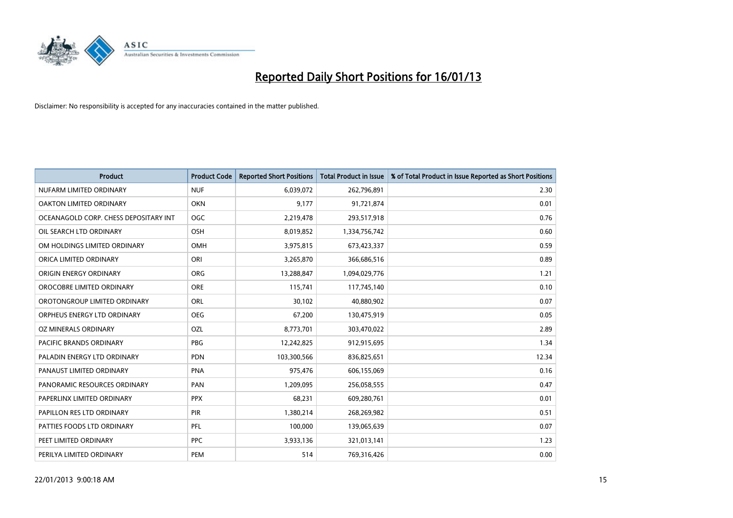

| <b>Product</b>                        | <b>Product Code</b> | <b>Reported Short Positions</b> | <b>Total Product in Issue</b> | % of Total Product in Issue Reported as Short Positions |
|---------------------------------------|---------------------|---------------------------------|-------------------------------|---------------------------------------------------------|
| NUFARM LIMITED ORDINARY               | <b>NUF</b>          | 6,039,072                       | 262,796,891                   | 2.30                                                    |
| OAKTON LIMITED ORDINARY               | <b>OKN</b>          | 9,177                           | 91,721,874                    | 0.01                                                    |
| OCEANAGOLD CORP. CHESS DEPOSITARY INT | <b>OGC</b>          | 2,219,478                       | 293,517,918                   | 0.76                                                    |
| OIL SEARCH LTD ORDINARY               | OSH                 | 8,019,852                       | 1,334,756,742                 | 0.60                                                    |
| OM HOLDINGS LIMITED ORDINARY          | <b>OMH</b>          | 3,975,815                       | 673,423,337                   | 0.59                                                    |
| ORICA LIMITED ORDINARY                | ORI                 | 3,265,870                       | 366,686,516                   | 0.89                                                    |
| ORIGIN ENERGY ORDINARY                | <b>ORG</b>          | 13,288,847                      | 1,094,029,776                 | 1.21                                                    |
| OROCOBRE LIMITED ORDINARY             | <b>ORE</b>          | 115,741                         | 117,745,140                   | 0.10                                                    |
| OROTONGROUP LIMITED ORDINARY          | <b>ORL</b>          | 30,102                          | 40,880,902                    | 0.07                                                    |
| ORPHEUS ENERGY LTD ORDINARY           | <b>OEG</b>          | 67,200                          | 130,475,919                   | 0.05                                                    |
| OZ MINERALS ORDINARY                  | OZL                 | 8,773,701                       | 303,470,022                   | 2.89                                                    |
| PACIFIC BRANDS ORDINARY               | <b>PBG</b>          | 12,242,825                      | 912,915,695                   | 1.34                                                    |
| PALADIN ENERGY LTD ORDINARY           | <b>PDN</b>          | 103,300,566                     | 836,825,651                   | 12.34                                                   |
| PANAUST LIMITED ORDINARY              | <b>PNA</b>          | 975,476                         | 606,155,069                   | 0.16                                                    |
| PANORAMIC RESOURCES ORDINARY          | PAN                 | 1,209,095                       | 256,058,555                   | 0.47                                                    |
| PAPERLINX LIMITED ORDINARY            | <b>PPX</b>          | 68,231                          | 609,280,761                   | 0.01                                                    |
| PAPILLON RES LTD ORDINARY             | PIR                 | 1,380,214                       | 268,269,982                   | 0.51                                                    |
| PATTIES FOODS LTD ORDINARY            | PFL                 | 100,000                         | 139,065,639                   | 0.07                                                    |
| PEET LIMITED ORDINARY                 | <b>PPC</b>          | 3,933,136                       | 321,013,141                   | 1.23                                                    |
| PERILYA LIMITED ORDINARY              | PEM                 | 514                             | 769,316,426                   | 0.00                                                    |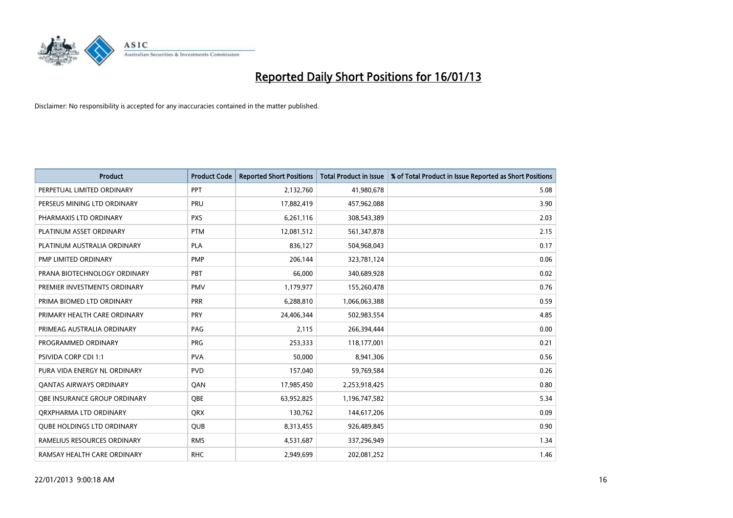

| <b>Product</b>                      | <b>Product Code</b> | <b>Reported Short Positions</b> | <b>Total Product in Issue</b> | % of Total Product in Issue Reported as Short Positions |
|-------------------------------------|---------------------|---------------------------------|-------------------------------|---------------------------------------------------------|
| PERPETUAL LIMITED ORDINARY          | PPT                 | 2,132,760                       | 41,980,678                    | 5.08                                                    |
| PERSEUS MINING LTD ORDINARY         | PRU                 | 17,882,419                      | 457,962,088                   | 3.90                                                    |
| PHARMAXIS LTD ORDINARY              | <b>PXS</b>          | 6,261,116                       | 308,543,389                   | 2.03                                                    |
| PLATINUM ASSET ORDINARY             | <b>PTM</b>          | 12,081,512                      | 561,347,878                   | 2.15                                                    |
| PLATINUM AUSTRALIA ORDINARY         | <b>PLA</b>          | 836,127                         | 504,968,043                   | 0.17                                                    |
| PMP LIMITED ORDINARY                | <b>PMP</b>          | 206,144                         | 323,781,124                   | 0.06                                                    |
| PRANA BIOTECHNOLOGY ORDINARY        | <b>PBT</b>          | 66,000                          | 340,689,928                   | 0.02                                                    |
| PREMIER INVESTMENTS ORDINARY        | <b>PMV</b>          | 1,179,977                       | 155,260,478                   | 0.76                                                    |
| PRIMA BIOMED LTD ORDINARY           | <b>PRR</b>          | 6,288,810                       | 1,066,063,388                 | 0.59                                                    |
| PRIMARY HEALTH CARE ORDINARY        | <b>PRY</b>          | 24,406,344                      | 502,983,554                   | 4.85                                                    |
| PRIMEAG AUSTRALIA ORDINARY          | PAG                 | 2,115                           | 266,394,444                   | 0.00                                                    |
| PROGRAMMED ORDINARY                 | <b>PRG</b>          | 253,333                         | 118,177,001                   | 0.21                                                    |
| PSIVIDA CORP CDI 1:1                | <b>PVA</b>          | 50,000                          | 8,941,306                     | 0.56                                                    |
| PURA VIDA ENERGY NL ORDINARY        | <b>PVD</b>          | 157,040                         | 59,769,584                    | 0.26                                                    |
| <b>QANTAS AIRWAYS ORDINARY</b>      | QAN                 | 17,985,450                      | 2,253,918,425                 | 0.80                                                    |
| <b>OBE INSURANCE GROUP ORDINARY</b> | <b>OBE</b>          | 63,952,825                      | 1,196,747,582                 | 5.34                                                    |
| ORXPHARMA LTD ORDINARY              | <b>QRX</b>          | 130,762                         | 144,617,206                   | 0.09                                                    |
| <b>QUBE HOLDINGS LTD ORDINARY</b>   | QUB                 | 8,313,455                       | 926,489,845                   | 0.90                                                    |
| RAMELIUS RESOURCES ORDINARY         | <b>RMS</b>          | 4,531,687                       | 337,296,949                   | 1.34                                                    |
| RAMSAY HEALTH CARE ORDINARY         | <b>RHC</b>          | 2,949,699                       | 202,081,252                   | 1.46                                                    |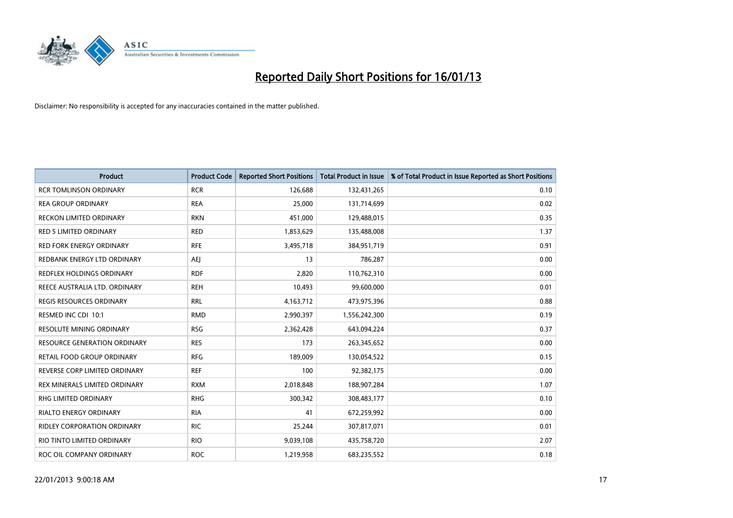

| <b>Product</b>                      | <b>Product Code</b> | <b>Reported Short Positions</b> | <b>Total Product in Issue</b> | % of Total Product in Issue Reported as Short Positions |
|-------------------------------------|---------------------|---------------------------------|-------------------------------|---------------------------------------------------------|
| <b>RCR TOMLINSON ORDINARY</b>       | <b>RCR</b>          | 126,688                         | 132,431,265                   | 0.10                                                    |
| <b>REA GROUP ORDINARY</b>           | <b>REA</b>          | 25,000                          | 131,714,699                   | 0.02                                                    |
| RECKON LIMITED ORDINARY             | <b>RKN</b>          | 451,000                         | 129,488,015                   | 0.35                                                    |
| RED 5 LIMITED ORDINARY              | <b>RED</b>          | 1,853,629                       | 135,488,008                   | 1.37                                                    |
| <b>RED FORK ENERGY ORDINARY</b>     | <b>RFE</b>          | 3,495,718                       | 384,951,719                   | 0.91                                                    |
| REDBANK ENERGY LTD ORDINARY         | AEJ                 | 13                              | 786,287                       | 0.00                                                    |
| <b>REDFLEX HOLDINGS ORDINARY</b>    | <b>RDF</b>          | 2.820                           | 110,762,310                   | 0.00                                                    |
| REECE AUSTRALIA LTD. ORDINARY       | <b>REH</b>          | 10,493                          | 99,600,000                    | 0.01                                                    |
| REGIS RESOURCES ORDINARY            | <b>RRL</b>          | 4,163,712                       | 473,975,396                   | 0.88                                                    |
| RESMED INC CDI 10:1                 | <b>RMD</b>          | 2,990,397                       | 1,556,242,300                 | 0.19                                                    |
| <b>RESOLUTE MINING ORDINARY</b>     | <b>RSG</b>          | 2,362,428                       | 643,094,224                   | 0.37                                                    |
| <b>RESOURCE GENERATION ORDINARY</b> | <b>RES</b>          | 173                             | 263,345,652                   | 0.00                                                    |
| RETAIL FOOD GROUP ORDINARY          | <b>RFG</b>          | 189,009                         | 130,054,522                   | 0.15                                                    |
| REVERSE CORP LIMITED ORDINARY       | <b>REF</b>          | 100                             | 92,382,175                    | 0.00                                                    |
| REX MINERALS LIMITED ORDINARY       | <b>RXM</b>          | 2,018,848                       | 188,907,284                   | 1.07                                                    |
| <b>RHG LIMITED ORDINARY</b>         | <b>RHG</b>          | 300,342                         | 308,483,177                   | 0.10                                                    |
| <b>RIALTO ENERGY ORDINARY</b>       | <b>RIA</b>          | 41                              | 672,259,992                   | 0.00                                                    |
| RIDLEY CORPORATION ORDINARY         | <b>RIC</b>          | 25,244                          | 307,817,071                   | 0.01                                                    |
| RIO TINTO LIMITED ORDINARY          | <b>RIO</b>          | 9,039,108                       | 435,758,720                   | 2.07                                                    |
| ROC OIL COMPANY ORDINARY            | <b>ROC</b>          | 1,219,958                       | 683,235,552                   | 0.18                                                    |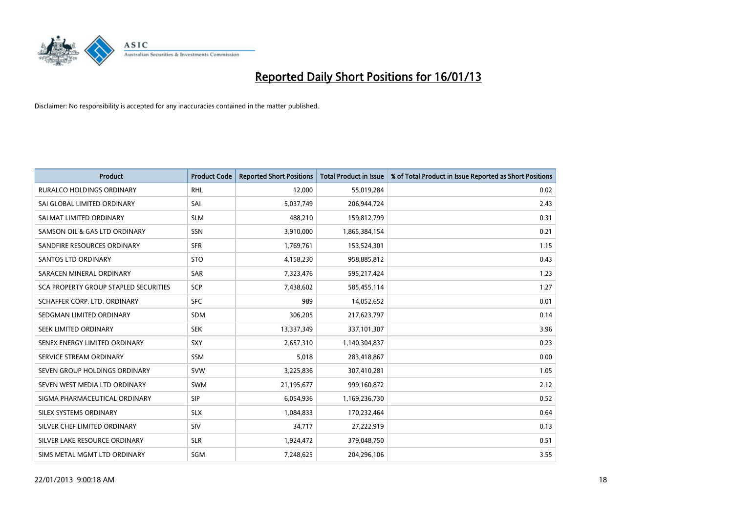

| <b>Product</b>                        | <b>Product Code</b> | <b>Reported Short Positions</b> | <b>Total Product in Issue</b> | % of Total Product in Issue Reported as Short Positions |
|---------------------------------------|---------------------|---------------------------------|-------------------------------|---------------------------------------------------------|
| <b>RURALCO HOLDINGS ORDINARY</b>      | <b>RHL</b>          | 12,000                          | 55,019,284                    | 0.02                                                    |
| SAI GLOBAL LIMITED ORDINARY           | SAI                 | 5,037,749                       | 206,944,724                   | 2.43                                                    |
| SALMAT LIMITED ORDINARY               | <b>SLM</b>          | 488,210                         | 159,812,799                   | 0.31                                                    |
| SAMSON OIL & GAS LTD ORDINARY         | <b>SSN</b>          | 3,910,000                       | 1,865,384,154                 | 0.21                                                    |
| SANDFIRE RESOURCES ORDINARY           | <b>SFR</b>          | 1,769,761                       | 153,524,301                   | 1.15                                                    |
| <b>SANTOS LTD ORDINARY</b>            | <b>STO</b>          | 4,158,230                       | 958,885,812                   | 0.43                                                    |
| SARACEN MINERAL ORDINARY              | <b>SAR</b>          | 7,323,476                       | 595,217,424                   | 1.23                                                    |
| SCA PROPERTY GROUP STAPLED SECURITIES | SCP                 | 7,438,602                       | 585,455,114                   | 1.27                                                    |
| SCHAFFER CORP. LTD. ORDINARY          | <b>SFC</b>          | 989                             | 14,052,652                    | 0.01                                                    |
| SEDGMAN LIMITED ORDINARY              | <b>SDM</b>          | 306,205                         | 217,623,797                   | 0.14                                                    |
| SEEK LIMITED ORDINARY                 | <b>SEK</b>          | 13,337,349                      | 337,101,307                   | 3.96                                                    |
| SENEX ENERGY LIMITED ORDINARY         | <b>SXY</b>          | 2,657,310                       | 1,140,304,837                 | 0.23                                                    |
| SERVICE STREAM ORDINARY               | <b>SSM</b>          | 5,018                           | 283,418,867                   | 0.00                                                    |
| SEVEN GROUP HOLDINGS ORDINARY         | <b>SVW</b>          | 3,225,836                       | 307,410,281                   | 1.05                                                    |
| SEVEN WEST MEDIA LTD ORDINARY         | <b>SWM</b>          | 21,195,677                      | 999,160,872                   | 2.12                                                    |
| SIGMA PHARMACEUTICAL ORDINARY         | SIP                 | 6,054,936                       | 1,169,236,730                 | 0.52                                                    |
| SILEX SYSTEMS ORDINARY                | <b>SLX</b>          | 1,084,833                       | 170,232,464                   | 0.64                                                    |
| SILVER CHEF LIMITED ORDINARY          | SIV                 | 34,717                          | 27,222,919                    | 0.13                                                    |
| SILVER LAKE RESOURCE ORDINARY         | <b>SLR</b>          | 1,924,472                       | 379,048,750                   | 0.51                                                    |
| SIMS METAL MGMT LTD ORDINARY          | SGM                 | 7,248,625                       | 204,296,106                   | 3.55                                                    |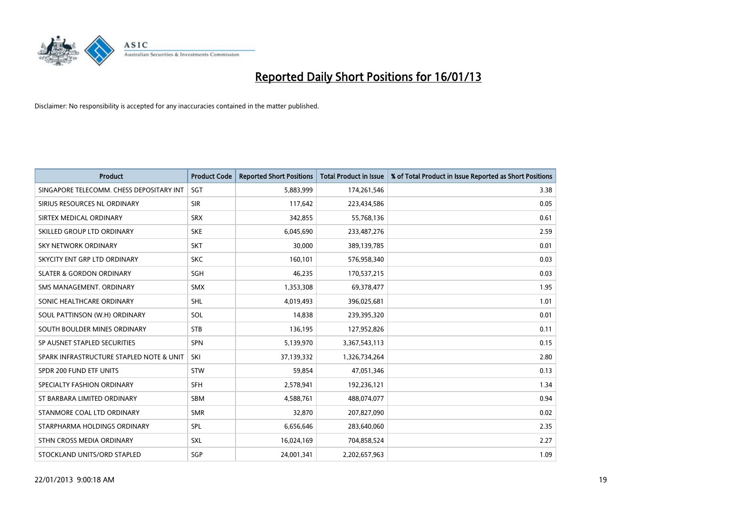

| <b>Product</b>                           | <b>Product Code</b> | <b>Reported Short Positions</b> | <b>Total Product in Issue</b> | % of Total Product in Issue Reported as Short Positions |
|------------------------------------------|---------------------|---------------------------------|-------------------------------|---------------------------------------------------------|
| SINGAPORE TELECOMM. CHESS DEPOSITARY INT | <b>SGT</b>          | 5,883,999                       | 174,261,546                   | 3.38                                                    |
| SIRIUS RESOURCES NL ORDINARY             | <b>SIR</b>          | 117,642                         | 223,434,586                   | 0.05                                                    |
| SIRTEX MEDICAL ORDINARY                  | <b>SRX</b>          | 342,855                         | 55,768,136                    | 0.61                                                    |
| SKILLED GROUP LTD ORDINARY               | <b>SKE</b>          | 6,045,690                       | 233,487,276                   | 2.59                                                    |
| <b>SKY NETWORK ORDINARY</b>              | <b>SKT</b>          | 30,000                          | 389,139,785                   | 0.01                                                    |
| SKYCITY ENT GRP LTD ORDINARY             | <b>SKC</b>          | 160,101                         | 576,958,340                   | 0.03                                                    |
| <b>SLATER &amp; GORDON ORDINARY</b>      | <b>SGH</b>          | 46,235                          | 170,537,215                   | 0.03                                                    |
| SMS MANAGEMENT. ORDINARY                 | <b>SMX</b>          | 1,353,308                       | 69,378,477                    | 1.95                                                    |
| SONIC HEALTHCARE ORDINARY                | <b>SHL</b>          | 4,019,493                       | 396,025,681                   | 1.01                                                    |
| SOUL PATTINSON (W.H) ORDINARY            | SOL                 | 14,838                          | 239,395,320                   | 0.01                                                    |
| SOUTH BOULDER MINES ORDINARY             | <b>STB</b>          | 136,195                         | 127,952,826                   | 0.11                                                    |
| SP AUSNET STAPLED SECURITIES             | <b>SPN</b>          | 5,139,970                       | 3,367,543,113                 | 0.15                                                    |
| SPARK INFRASTRUCTURE STAPLED NOTE & UNIT | SKI                 | 37,139,332                      | 1,326,734,264                 | 2.80                                                    |
| SPDR 200 FUND ETF UNITS                  | <b>STW</b>          | 59,854                          | 47,051,346                    | 0.13                                                    |
| SPECIALTY FASHION ORDINARY               | <b>SFH</b>          | 2,578,941                       | 192,236,121                   | 1.34                                                    |
| ST BARBARA LIMITED ORDINARY              | <b>SBM</b>          | 4,588,761                       | 488,074,077                   | 0.94                                                    |
| STANMORE COAL LTD ORDINARY               | <b>SMR</b>          | 32,870                          | 207,827,090                   | 0.02                                                    |
| STARPHARMA HOLDINGS ORDINARY             | SPL                 | 6,656,646                       | 283,640,060                   | 2.35                                                    |
| STHN CROSS MEDIA ORDINARY                | <b>SXL</b>          | 16,024,169                      | 704,858,524                   | 2.27                                                    |
| STOCKLAND UNITS/ORD STAPLED              | <b>SGP</b>          | 24,001,341                      | 2,202,657,963                 | 1.09                                                    |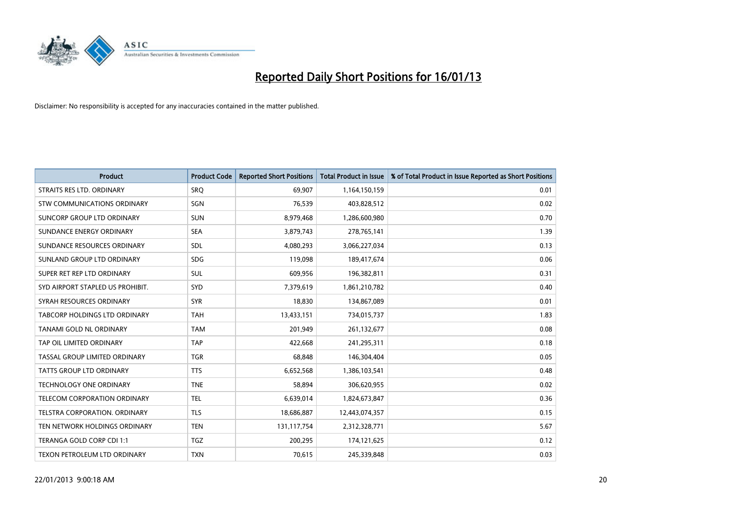

| <b>Product</b>                      | <b>Product Code</b> | <b>Reported Short Positions</b> | <b>Total Product in Issue</b> | % of Total Product in Issue Reported as Short Positions |
|-------------------------------------|---------------------|---------------------------------|-------------------------------|---------------------------------------------------------|
| STRAITS RES LTD. ORDINARY           | SRO                 | 69,907                          | 1,164,150,159                 | 0.01                                                    |
| STW COMMUNICATIONS ORDINARY         | SGN                 | 76,539                          | 403,828,512                   | 0.02                                                    |
| SUNCORP GROUP LTD ORDINARY          | <b>SUN</b>          | 8,979,468                       | 1,286,600,980                 | 0.70                                                    |
| SUNDANCE ENERGY ORDINARY            | <b>SEA</b>          | 3,879,743                       | 278,765,141                   | 1.39                                                    |
| SUNDANCE RESOURCES ORDINARY         | <b>SDL</b>          | 4,080,293                       | 3,066,227,034                 | 0.13                                                    |
| SUNLAND GROUP LTD ORDINARY          | <b>SDG</b>          | 119,098                         | 189,417,674                   | 0.06                                                    |
| SUPER RET REP LTD ORDINARY          | <b>SUL</b>          | 609,956                         | 196,382,811                   | 0.31                                                    |
| SYD AIRPORT STAPLED US PROHIBIT.    | <b>SYD</b>          | 7,379,619                       | 1,861,210,782                 | 0.40                                                    |
| SYRAH RESOURCES ORDINARY            | <b>SYR</b>          | 18,830                          | 134,867,089                   | 0.01                                                    |
| TABCORP HOLDINGS LTD ORDINARY       | <b>TAH</b>          | 13,433,151                      | 734,015,737                   | 1.83                                                    |
| TANAMI GOLD NL ORDINARY             | <b>TAM</b>          | 201,949                         | 261,132,677                   | 0.08                                                    |
| TAP OIL LIMITED ORDINARY            | <b>TAP</b>          | 422,668                         | 241,295,311                   | 0.18                                                    |
| TASSAL GROUP LIMITED ORDINARY       | <b>TGR</b>          | 68,848                          | 146,304,404                   | 0.05                                                    |
| <b>TATTS GROUP LTD ORDINARY</b>     | <b>TTS</b>          | 6,652,568                       | 1,386,103,541                 | 0.48                                                    |
| <b>TECHNOLOGY ONE ORDINARY</b>      | <b>TNE</b>          | 58,894                          | 306,620,955                   | 0.02                                                    |
| <b>TELECOM CORPORATION ORDINARY</b> | <b>TEL</b>          | 6,639,014                       | 1,824,673,847                 | 0.36                                                    |
| TELSTRA CORPORATION. ORDINARY       | <b>TLS</b>          | 18,686,887                      | 12,443,074,357                | 0.15                                                    |
| TEN NETWORK HOLDINGS ORDINARY       | <b>TEN</b>          | 131,117,754                     | 2,312,328,771                 | 5.67                                                    |
| TERANGA GOLD CORP CDI 1:1           | <b>TGZ</b>          | 200,295                         | 174,121,625                   | 0.12                                                    |
| TEXON PETROLEUM LTD ORDINARY        | <b>TXN</b>          | 70,615                          | 245,339,848                   | 0.03                                                    |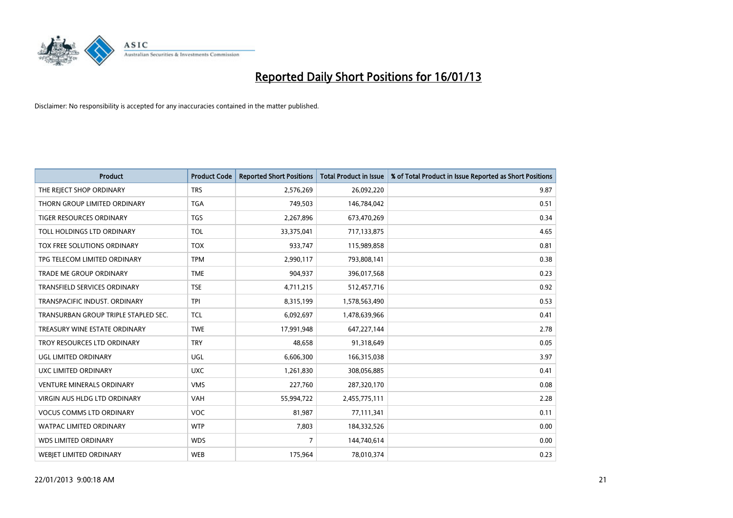

| <b>Product</b>                       | <b>Product Code</b> | <b>Reported Short Positions</b> | <b>Total Product in Issue</b> | % of Total Product in Issue Reported as Short Positions |
|--------------------------------------|---------------------|---------------------------------|-------------------------------|---------------------------------------------------------|
| THE REJECT SHOP ORDINARY             | <b>TRS</b>          | 2,576,269                       | 26,092,220                    | 9.87                                                    |
| THORN GROUP LIMITED ORDINARY         | <b>TGA</b>          | 749,503                         | 146,784,042                   | 0.51                                                    |
| <b>TIGER RESOURCES ORDINARY</b>      | <b>TGS</b>          | 2,267,896                       | 673,470,269                   | 0.34                                                    |
| TOLL HOLDINGS LTD ORDINARY           | <b>TOL</b>          | 33,375,041                      | 717,133,875                   | 4.65                                                    |
| TOX FREE SOLUTIONS ORDINARY          | <b>TOX</b>          | 933,747                         | 115,989,858                   | 0.81                                                    |
| TPG TELECOM LIMITED ORDINARY         | <b>TPM</b>          | 2,990,117                       | 793,808,141                   | 0.38                                                    |
| TRADE ME GROUP ORDINARY              | <b>TME</b>          | 904,937                         | 396,017,568                   | 0.23                                                    |
| TRANSFIELD SERVICES ORDINARY         | <b>TSE</b>          | 4,711,215                       | 512,457,716                   | 0.92                                                    |
| TRANSPACIFIC INDUST, ORDINARY        | <b>TPI</b>          | 8,315,199                       | 1,578,563,490                 | 0.53                                                    |
| TRANSURBAN GROUP TRIPLE STAPLED SEC. | <b>TCL</b>          | 6,092,697                       | 1,478,639,966                 | 0.41                                                    |
| TREASURY WINE ESTATE ORDINARY        | <b>TWE</b>          | 17,991,948                      | 647,227,144                   | 2.78                                                    |
| TROY RESOURCES LTD ORDINARY          | <b>TRY</b>          | 48,658                          | 91,318,649                    | 0.05                                                    |
| UGL LIMITED ORDINARY                 | UGL                 | 6,606,300                       | 166,315,038                   | 3.97                                                    |
| UXC LIMITED ORDINARY                 | <b>UXC</b>          | 1,261,830                       | 308,056,885                   | 0.41                                                    |
| <b>VENTURE MINERALS ORDINARY</b>     | <b>VMS</b>          | 227,760                         | 287,320,170                   | 0.08                                                    |
| VIRGIN AUS HLDG LTD ORDINARY         | VAH                 | 55,994,722                      | 2,455,775,111                 | 2.28                                                    |
| <b>VOCUS COMMS LTD ORDINARY</b>      | VOC                 | 81,987                          | 77,111,341                    | 0.11                                                    |
| WATPAC LIMITED ORDINARY              | <b>WTP</b>          | 7,803                           | 184,332,526                   | 0.00                                                    |
| <b>WDS LIMITED ORDINARY</b>          | <b>WDS</b>          | $\overline{7}$                  | 144,740,614                   | 0.00                                                    |
| <b>WEBIET LIMITED ORDINARY</b>       | <b>WEB</b>          | 175,964                         | 78,010,374                    | 0.23                                                    |